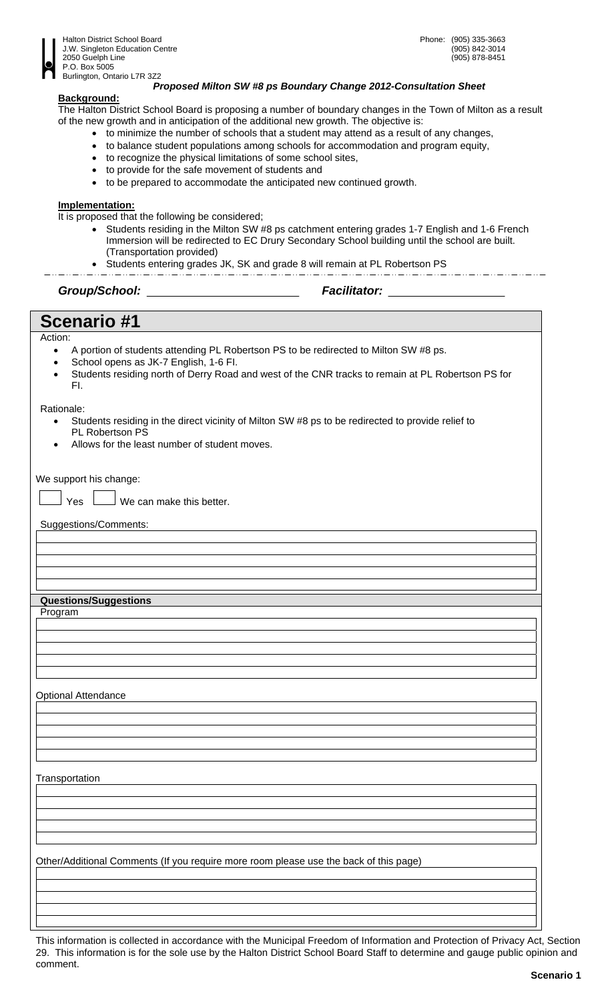

## *Proposed Milton SW #8 ps Boundary Change 2012-Consultation Sheet*

## **Background:**

The Halton District School Board is proposing a number of boundary changes in the Town of Milton as a result of the new growth and in anticipation of the additional new growth. The objective is:

- to minimize the number of schools that a student may attend as a result of any changes,
- to balance student populations among schools for accommodation and program equity,
- to recognize the physical limitations of some school sites,
- to provide for the safe movement of students and
- to be prepared to accommodate the anticipated new continued growth.

### **Implementation:**

It is proposed that the following be considered;

- Students residing in the Milton SW #8 ps catchment entering grades 1-7 English and 1-6 French Immersion will be redirected to EC Drury Secondary School building until the school are built. (Transportation provided)
- Students entering grades JK, SK and grade 8 will remain at PL Robertson PS

*Group/School: Facilitator:* 

# **Scenario #1**

### Action:

- A portion of students attending PL Robertson PS to be redirected to Milton SW #8 ps.
- School opens as JK-7 English, 1-6 FI.
- Students residing north of Derry Road and west of the CNR tracks to remain at PL Robertson PS for FI.

### Rationale:

- Students residing in the direct vicinity of Milton SW #8 ps to be redirected to provide relief to PL Robertson PS
- Allows for the least number of student moves.

We support his change:

 $\Box$  Yes  $\Box$  We can make this better.

Suggestions/Comments:

## **Questions/Suggestions**

Program

Optional Attendance

**Transportation** 

Other/Additional Comments (If you require more room please use the back of this page)

This information is collected in accordance with the Municipal Freedom of Information and Protection of Privacy Act, Section 29. This information is for the sole use by the Halton District School Board Staff to determine and gauge public opinion and comment.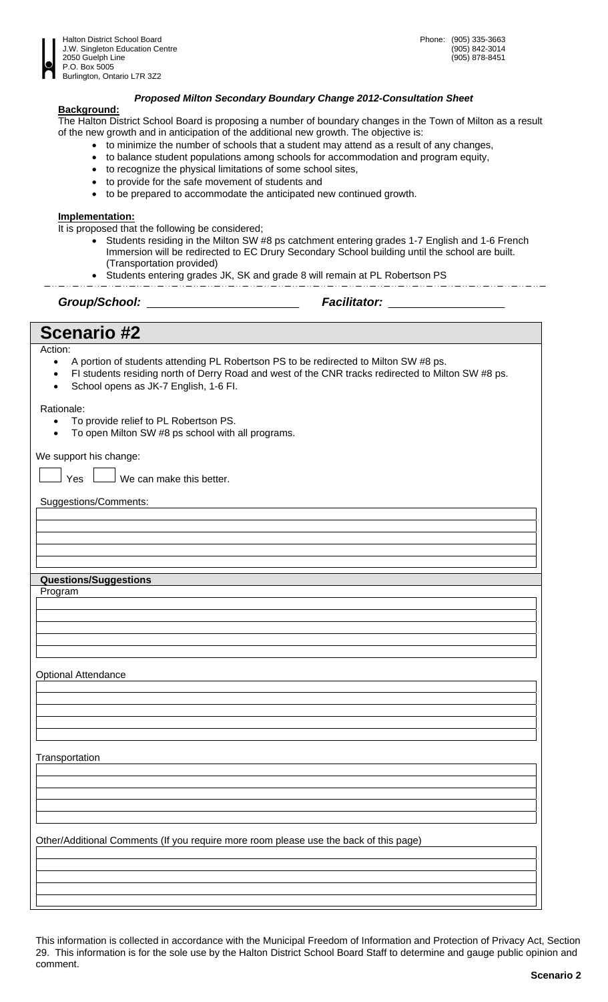

## *Proposed Milton Secondary Boundary Change 2012-Consultation Sheet*

### **Background:**

The Halton District School Board is proposing a number of boundary changes in the Town of Milton as a result of the new growth and in anticipation of the additional new growth. The objective is:

- to minimize the number of schools that a student may attend as a result of any changes,
- to balance student populations among schools for accommodation and program equity,
- to recognize the physical limitations of some school sites,
- to provide for the safe movement of students and
- to be prepared to accommodate the anticipated new continued growth.

### **Implementation:**

It is proposed that the following be considered;

- Students residing in the Milton SW #8 ps catchment entering grades 1-7 English and 1-6 French Immersion will be redirected to EC Drury Secondary School building until the school are built. (Transportation provided)
- Students entering grades JK, SK and grade 8 will remain at PL Robertson PS

*Group/School: Facilitator:* 

# **Scenario #2**

Action:

- A portion of students attending PL Robertson PS to be redirected to Milton SW #8 ps.
- FI students residing north of Derry Road and west of the CNR tracks redirected to Milton SW #8 ps.
- School opens as JK-7 English, 1-6 FI.

### Rationale:

- To provide relief to PL Robertson PS.
- To open Milton SW #8 ps school with all programs.

We support his change:

 $\Box$  Yes  $\Box$  We can make this better.

Suggestions/Comments:

### **Questions/Suggestions**

Program

Optional Attendance

**Transportation** 

Other/Additional Comments (If you require more room please use the back of this page)

This information is collected in accordance with the Municipal Freedom of Information and Protection of Privacy Act, Section 29. This information is for the sole use by the Halton District School Board Staff to determine and gauge public opinion and comment.